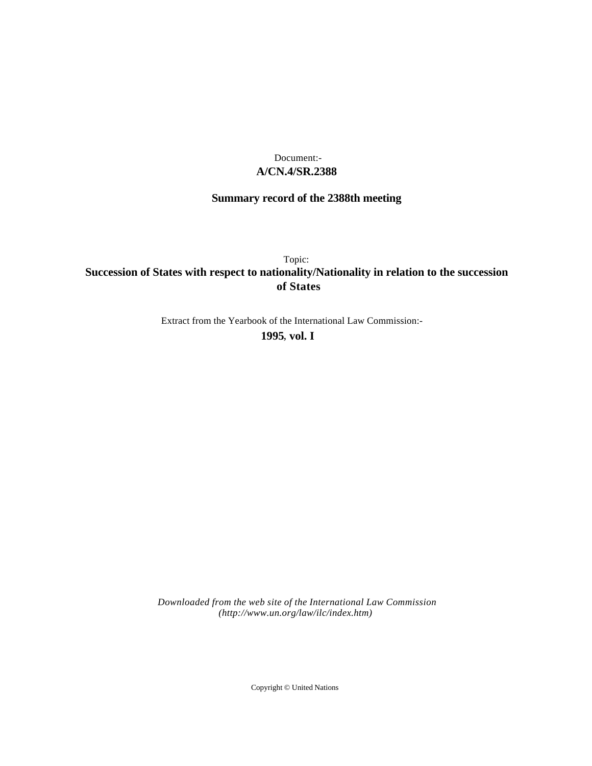## **A/CN.4/SR.2388** Document:-

# **Summary record of the 2388th meeting**

Topic: **Succession of States with respect to nationality/Nationality in relation to the succession of States**

Extract from the Yearbook of the International Law Commission:-

**1995** , **vol. I**

*Downloaded from the web site of the International Law Commission (http://www.un.org/law/ilc/index.htm)*

Copyright © United Nations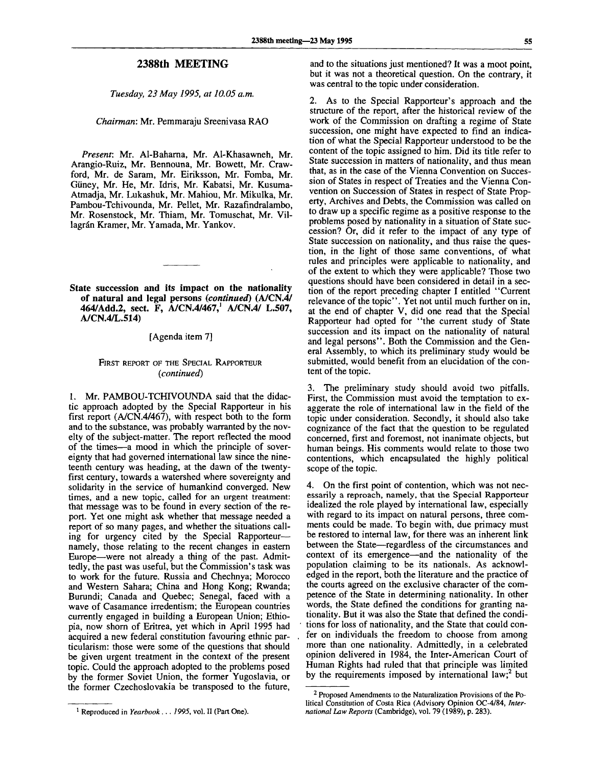*Tuesday, 23 May 1995, at 10.05 a.m.*

*Chairman'.* Mr. Pemmaraju Sreenivasa RAO

*Present.* Mr. Al-Baharna, Mr. Al-Khasawneh, Mr. Arangio-Ruiz, Mr. Bennouna, Mr. Bowett, Mr. Crawford, Mr. de Saram, Mr. Eiriksson, Mr. Fomba, Mr. Giiney, Mr. He, Mr. Idris, Mr. Kabatsi, Mr. Kusuma-Atmadja, Mr. Lukashuk, Mr. Mahiou, Mr. Mikulka, Mr. Pambou-Tchivounda, Mr. Pellet, Mr. Razafindralambo, Mr. Rosenstock, Mr. Thiam, Mr. Tomuschat, Mr. Villagrán Kramer, Mr. Yamada, Mr. Yankov.

**State succession and its impact on the nationality of natural and legal persons** *{continued)* **(A/CN.4/ 464/Add.2, sect. F, A/CN.4/467,<sup>1</sup> A/CN.4/ L.507, A/CN.4/L.514)**

[Agenda item 7]

#### FIRST REPORT OF THE SPECIAL RAPPORTEUR *(continued)*

1. Mr. PAMBOU-TCHIVOUNDA said that the didactic approach adopted by the Special Rapporteur in his first report (A/CN.4/467), with respect both to the form and to the substance, was probably warranted by the novelty of the subject-matter. The report reflected the mood of the times—a mood in which the principle of sovereignty that had governed international law since the nineteenth century was heading, at the dawn of the twentyfirst century, towards a watershed where sovereignty and solidarity in the service of humankind converged. New times, and a new topic, called for an urgent treatment: that message was to be found in every section of the report. Yet one might ask whether that message needed a report of so many pages, and whether the situations calling for urgency cited by the Special Rapporteur namely, those relating to the recent changes in eastern Europe—were not already a thing of the past. Admittedly, the past was useful, but the Commission's task was to work for the future. Russia and Chechnya; Morocco and Western Sahara; China and Hong Kong; Rwanda; Burundi; Canada and Quebec; Senegal, faced with a wave of Casamance irredentism; the European countries currently engaged in building a European Union; Ethiopia, now shorn of Eritrea, yet which in April 1995 had acquired a new federal constitution favouring ethnic particularism: those were some of the questions that should be given urgent treatment in the context of the present topic. Could the approach adopted to the problems posed by the former Soviet Union, the former Yugoslavia, or the former Czechoslovakia be transposed to the future,

and to the situations just mentioned? It was a moot point, but it was not a theoretical question. On the contrary, it was central to the topic under consideration.

2. As to the Special Rapporteur's approach and the structure of the report, after the historical review of the work of the Commission on drafting a regime of State succession, one might have expected to find an indication of what the Special Rapporteur understood to be the content of the topic assigned to him. Did its title refer to State succession in matters of nationality, and thus mean that, as in the case of the Vienna Convention on Succession of States in respect of Treaties and the Vienna Convention on Succession of States in respect of State Property, Archives and Debts, the Commission was called on to draw up a specific regime as a positive response to the problems posed by nationality in a situation of State succession? Or, did it refer to the impact of any type of State succession on nationality, and thus raise the question, in the light of those same conventions, of what rules and principles were applicable to nationality, and of the extent to which they were applicable? Those two questions should have been considered in detail in a section of the report preceding chapter I entitled "Current relevance of the topic". Yet not until much further on in. at the end of chapter V, did one read that the Special Rapporteur had opted for "the current study of State succession and its impact on the nationality of natural and legal persons". Both the Commission and the General Assembly, to which its preliminary study would be submitted, would benefit from an elucidation of the content of the topic.

3. The preliminary study should avoid two pitfalls. First, the Commission must avoid the temptation to exaggerate the role of international law in the field of the topic under consideration. Secondly, it should also take cognizance of the fact that the question to be regulated concerned, first and foremost, not inanimate objects, but human beings. His comments would relate to those two contentions, which encapsulated the highly political scope of the topic.

4. On the first point of contention, which was not necessarily a reproach, namely, that the Special Rapporteur idealized the role played by international law, especially with regard to its impact on natural persons, three comments could be made. To begin with, due primacy must be restored to internal law, for there was an inherent link between the State—regardless of the circumstances and context of its emergence—and the nationality of the population claiming to be its nationals. As acknowledged in the report, both the literature and the practice of the courts agreed on the exclusive character of the competence of the State in determining nationality. In other words, the State defined the conditions for granting nationality. But it was also the State that defined the conditions for loss of nationality, and the State that could confer on individuals the freedom to choose from among more than one nationality. Admittedly, in a celebrated opinion delivered in 1984, the Inter-American Court of Human Rights had ruled that that principle was limited by the requirements imposed by international  $law$ ;<sup>2</sup> but

<sup>&</sup>lt;sup>1</sup> Reproduced in *Yearbook...* 1995, vol. II (Part One).

<sup>&</sup>lt;sup>2</sup> Proposed Amendments to the Naturalization Provisions of the Political Constitution of Costa Rica (Advisory Opinion OC-4/84, *International Law Reports* (Cambridge), vol. 79 (1989), p. 283).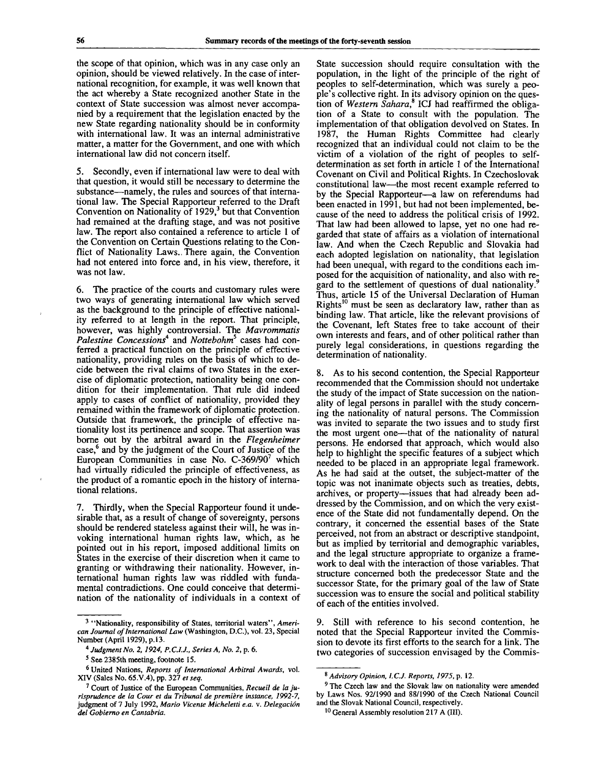the scope of that opinion, which was in any case only an opinion, should be viewed relatively. In the case of international recognition, for example, it was well known that the act whereby a State recognized another State in the context of State succession was almost never accompanied by a requirement that the legislation enacted by the new State regarding nationality should be in conformity with international law. It was an internal administrative matter, a matter for the Government, and one with which international law did not concern itself.

5. Secondly, even if international law were to deal with that question, it would still be necessary to determine the substance—namely, the rules and sources of that international law. The Special Rapporteur referred to the Draft Convention on Nationality of 1929,<sup>3</sup> but that Convention had remained at the drafting stage, and was not positive law. The report also contained a reference to article 1 of the Convention on Certain Questions relating to the Conflict of Nationality Laws..There again, the Convention had not entered into force and, in his view, therefore, it was not law.

6. The practice of the courts and customary rules were two ways of generating international law which served as the background to the principle of effective nationality referred to at length in the report. That principle, however, was highly controversial. The *Mavrommatis Palestine Concessions\** and *Nottebohm<sup>5</sup>* cases had conferred a practical function on the principle of effective nationality, providing rules on the basis of which to decide between the rival claims of two States in the exercise of diplomatic protection, nationality being one condition for their implementation. That rule did indeed apply to cases of conflict of nationality, provided they remained within the framework of diplomatic protection. Outside that framework, the principle of effective nationality lost its pertinence and scope. That assertion was borne out by the arbitral award in the *Flegenheimer*  $\cos^6$  and by the judgment of the Court of Justice of the European Communities in case No.  $C-369/90^7$  which had virtually ridiculed the principle of effectiveness, as the product of a romantic epoch in the history of international relations.

7. Thirdly, when the Special Rapporteur found it undesirable that, as a result of change of sovereignty, persons should be rendered stateless against their will, he was invoking international human rights law, which, as he pointed out in his report, imposed additional limits on States in the exercise of their discretion when it came to granting or withdrawing their nationality. However, international human rights law was riddled with fundamental contradictions. One could conceive that determination of the nationality of individuals in a context of State succession should require consultation with the population, in the light of the principle of the right of peoples to self-determination, which was surely a people's collective right. In its advisory opinion on the question of *Western Sahara?* ICJ had reaffirmed the obligation of a State to consult with the population. The implementation of that obligation devolved on States. In 1987, the Human Rights Committee had clearly recognized that an individual could not claim to be the victim of a violation of the right of peoples to selfdetermination as set forth in article 1 of the International Covenant on Civil and Political Rights. In Czechoslovak constitutional law—the most recent example referred to by the Special Rapporteur—a law on referendums had been enacted in 1991, but had not been implemented, because of the need to address the political crisis of 1992. That law had been allowed to lapse, yet no one had regarded that state of affairs as a violation of international law. And when the Czech Republic and Slovakia had each adopted legislation on nationality, that legislation had been unequal, with regard to the conditions each imposed for the acquisition of nationality, and also with regard to the settlement of questions of dual nationality.<sup>9</sup> Thus, article 15 of the Universal Declaration of Human Thus, atticle 15 of the Ontversal Declaration of Figurean<br>Rights<sup>10</sup> must be seen as declaratory law, rather than as binding law. That article, like the relevant provisions of the Covenant, left States free to take account of their own interests and fears, and of other political rather than purely legal considerations, in questions regarding the determination of nationality.

8. As to his second contention, the Special Rapporteur recommended that the Commission should not undertake the study of the impact of State succession on the nationality of legal persons in parallel with the study concerning the nationality of natural persons. The Commission was invited to separate the two issues and to study first the most urgent one—that of the nationality of natural persons. He endorsed that approach, which would also help to highlight the specific features of a subject which needed to be placed in an appropriate legal framework. As he had said at the outset, the subject-matter of the topic was not inanimate objects such as treaties, debts, archives, or property—issues that had already been addressed by the Commission, and on which the very existence of the State did not fundamentally depend. On the contrary, it concerned the essential bases of the State perceived, not from an abstract or descriptive standpoint, but as implied by territorial and demographic variables, and the legal structure appropriate to organize a framework to deal with the interaction of those variables. That structure concerned both the predecessor State and the successor State, for the primary goal of the law of State succession was to ensure the social and political stability of each of the entities involved.

9. Still with reference to his second contention, he noted that the Special Rapporteur invited the Commission to devote its first efforts to the search for a link. The two categories of succession envisaged by the Commis-

<sup>&</sup>lt;sup>3</sup> "Nationality, responsibility of States, territorial waters", Ameri*can Journal of International Law* (Washington, D.C.), vol. 23, Special Number (April 1929), p.13.

<sup>4</sup>  *Judgment No. 2, 1924, P.C.I.J., Series A, No. 2,* p. 6.

<sup>&</sup>lt;sup>5</sup> See 2385th meeting, footnote 15.

<sup>6</sup> United Nations, *Reports of International Arbitral Awards,* vol. XIV (Sales No. 65.V.4), pp. 327 *et seq.*

<sup>7</sup> Court of Justice of the European Communities, *Recueil de la jurisprudence de la Cour et du Tribunal de premiere instance, 1992-7,* judgment of 7 July 1992, *Mario Vicente Micheletti e.a.* v. *Delegacion del Gobierno en Cantabria.*

<sup>8</sup>  *Advisory Opinion, I.C.J. Reports, 1975,* p. 12.

<sup>&</sup>lt;sup>9</sup> The Czech law and the Slovak law on nationality were amended by Laws Nos. 92/1990 and 88/1990 of the Czech National Council and the Slovak National Council, respectively.

<sup>&</sup>lt;sup>10</sup> General Assembly resolution 217 A (III).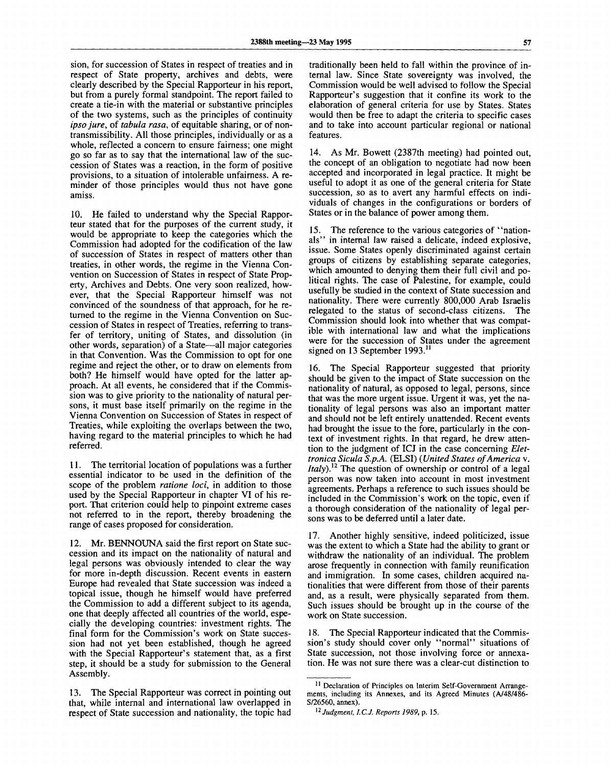sion, for succession of States in respect of treaties and in respect of State property, archives and debts, were clearly described by the Special Rapporteur in his report, but from a purely formal standpoint. The report failed to create a tie-in with the material or substantive principles of the two systems, such as the principles of continuity *ipso jure,* of *tabula rasa,* of equitable sharing, or of nontransmissibility. All those principles, individually or as a whole, reflected a concern to ensure fairness; one might go so far as to say that the international law of the succession of States was a reaction, in the form of positive provisions, to a situation of intolerable unfairness. A reminder of those principles would thus not have gone amiss.

10. He failed to understand why the Special Rapporteur stated that for the purposes of the current study, it would be appropriate to keep the categories which the Commission had adopted for the codification of the law of succession of States in respect of matters other than treaties, in other words, the regime in the Vienna Convention on Succession of States in respect of State Property, Archives and Debts. One very soon realized, however, that the Special Rapporteur himself was not convinced of the soundness of that approach, for he returned to the regime in the Vienna Convention on Succession of States in respect of Treaties, referring to transfer of territory, uniting of States, and dissolution (in other words, separation) of a State—all major categories in that Convention. Was the Commission to opt for one regime and reject the other, or to draw on elements from both? He himself would have opted for the latter approach. At all events, he considered that if the Commission was to give priority to the nationality of natural persons, it must base itself primarily on the regime in the Vienna Convention on Succession of States in respect of Treaties, while exploiting the overlaps between the two, having regard to the material principles to which he had referred.

11. The territorial location of populations was a further essential indicator to be used in the definition of the scope of the problem *ratione loci,* in addition to those used by the Special Rapporteur in chapter VI of his report. That criterion could help to pinpoint extreme cases not referred to in the report, thereby broadening the range of cases proposed for consideration.

12. Mr. BENNOUNA said the first report on State succession and its impact on the nationality of natural and legal persons was obviously intended to clear the way for more in-depth discussion. Recent events in eastern Europe had revealed that State succession was indeed a topical issue, though he himself would have preferred the Commission to add a different subject to its agenda, one that deeply affected all countries of the world, especially the developing countries: investment rights. The final form for the Commission's work on State succession had not yet been established, though he agreed with the Special Rapporteur's statement that, as a first step, it should be a study for submission to the General Assembly.

13. The Special Rapporteur was correct in pointing out that, while internal and international law overlapped in respect of State succession and nationality, the topic had

traditionally been held to fall within the province of internal law. Since State sovereignty was involved, the Commission would be well advised to follow the Special Rapporteur's suggestion that it confine its work to the elaboration of general criteria for use by States. States would then be free to adapt the criteria to specific cases and to take into account particular regional or national features.

14. As Mr. Bowett (2387th meeting) had pointed out, the concept of an obligation to negotiate had now been accepted and incorporated in legal practice. It might be useful to adopt it as one of the general criteria for State succession, so as to avert any harmful effects on individuals of changes in the configurations or borders of States or in the balance of power among them.

15. The reference to the various categories of "nationals" in internal law raised a delicate, indeed explosive, issue. Some States openly discriminated against certain groups of citizens by establishing separate categories, which amounted to denying them their full civil and political rights. The case of Palestine, for example, could usefully be studied in the context of State succession and nationality. There were currently 800,000 Arab Israelis relegated to the status of second-class citizens. The Commission should look into whether that was compatible with international law and what the implications were for the succession of States under the agreement signed on 13 September 1993.<sup>11</sup>

16. The Special Rapporteur suggested that priority should be given to the impact of State succession on the nationality of natural, as opposed to legal, persons, since that was the more urgent issue. Urgent it was, yet the nationality of legal persons was also an important matter and should not be left entirely unattended. Recent events had brought the issue to the fore, particularly in the context of investment rights. In that regard, he drew attention to the judgment of ICJ in the case concerning *Elettronica Sicula S.p.A.* (ELSI) *{United States of America* v. *Italy*<sup>12</sup> The question of ownership or control of a legal person was now taken into account in most investment agreements. Perhaps a reference to such issues should be included in the Commission's work on the topic, even if a thorough consideration of the nationality of legal persons was to be deferred until a later date.

17. Another highly sensitive, indeed politicized, issue was the extent to which a State had the ability to grant or withdraw the nationality of an individual. The problem arose frequently in connection with family reunification and immigration. In some cases, children acquired nationalities that were different from those of their parents and, as a result, were physically separated from them. Such issues should be brought up in the course of the work on State succession.

18. The Special Rapporteur indicated that the Commission's study should cover only "normal" situations of State succession, not those involving force or annexation. He was not sure there was a clear-cut distinction to

<sup>&</sup>lt;sup>11</sup> Declaration of Principles on Interim Self-Government Arrangements, including its Annexes, and its Agreed Minutes (A/48/486- S/26560, annex).

<sup>12</sup>  *Judgment, I.C.J. Reports 1989,* p. 15.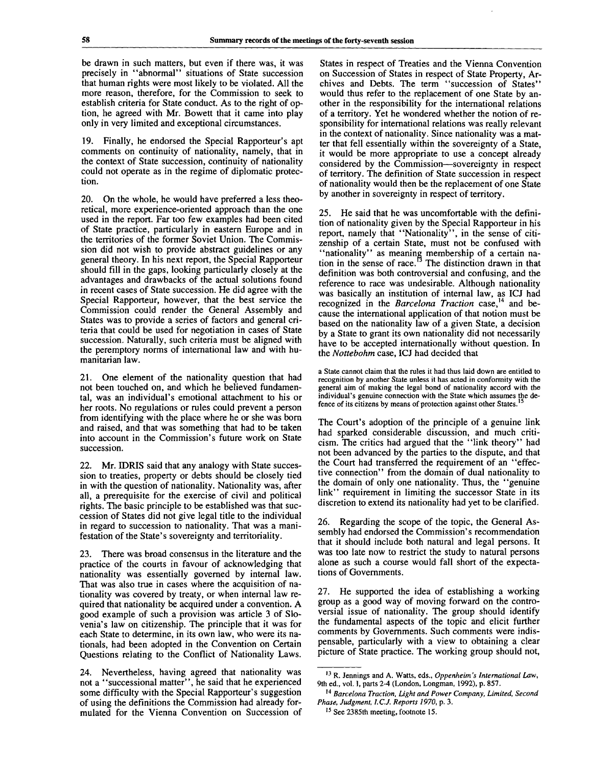be drawn in such matters, but even if there was, it was precisely in "abnormal" situations of State succession that human rights were most likely to be violated. All the more reason, therefore, for the Commission to seek to establish criteria for State conduct. As to the right of option, he agreed with Mr. Bowett that it came into play only in very limited and exceptional circumstances.

19. Finally, he endorsed the Special Rapporteur's apt comments on continuity of nationality, namely, that in the context of State succession, continuity of nationality could not operate as in the regime of diplomatic protection.

20. On the whole, he would have preferred a less theoretical, more experience-oriented approach than the one used in the report. Far too few examples had been cited of State practice, particularly in eastern Europe and in the territories of the former Soviet Union. The Commission did not wish to provide abstract guidelines or any general theory. In his next report, the Special Rapporteur should fill in the gaps, looking particularly closely at the advantages and drawbacks of the actual solutions found in recent cases of State succession. He did agree with the Special Rapporteur, however, that the best service the Commission could render the General Assembly and States was to provide a series of factors and general criteria that could be used for negotiation in cases of State succession. Naturally, such criteria must be aligned with the peremptory norms of international law and with humanitarian law.

21. One element of the nationality question that had not been touched on, and which he believed fundamental, was an individual's emotional attachment to his or her roots. No regulations or rules could prevent a person from identifying with the place where he or she was bora and raised, and that was something that had to be taken into account in the Commission's future work on State succession.

22. Mr. IDRIS said that any analogy with State succession to treaties, property or debts should be closely tied in with the question of nationality. Nationality was, after all, a prerequisite for the exercise of civil and political rights. The basic principle to be established was that succession of States did not give legal title to the individual in regard to succession to nationality. That was a manifestation of the State's sovereignty and territoriality.

23. There was broad consensus in the literature and the practice of the courts in favour of acknowledging that nationality was essentially governed by internal law. That was also true in cases where the acquisition of nationality was covered by treaty, or when internal law required that nationality be acquired under a convention. A good example of such a provision was article 3 of Slovenia's law on citizenship. The principle that it was for each State to determine, in its own law, who were its nationals, had been adopted in the Convention on Certain Questions relating to the Conflict of Nationality Laws.

24. Nevertheless, having agreed that nationality was not a "successional matter", he said that he experienced some difficulty with the Special Rapporteur's suggestion of using the definitions the Commission had already formulated for the Vienna Convention on Succession of

States in respect of Treaties and the Vienna Convention on Succession of States in respect of State Property, Archives and Debts. The term "succession of States" would thus refer to the replacement of one State by another in the responsibility for the international relations of a territory. Yet he wondered whether the notion of responsibility for international relations was really relevant in the context of nationality. Since nationality was a matter that fell essentially within the sovereignty of a State, it would be more appropriate to use a concept already considered by the Commission—sovereignty in respect of territory. The definition of State succession in respect of nationality would then be the replacement of one State by another in sovereignty in respect of territory.

25. He said that he was uncomfortable with the definition of nationality given by the Special Rapporteur in his report, namely that "Nationality", in the sense of citizenship of a certain State, must not be confused with "nationality" as meaning membership of a certain nation in the sense of race.<sup>13</sup> The distinction drawn in that definition was both controversial and confusing, and the reference to race was undesirable. Although nationality was basically an institution of internal law, as ICJ had recognized in the *Barcelona Traction* case,<sup>14</sup> and because the international application of that notion must be based on the nationality law of a given State, a decision by a State to grant its own nationality did not necessarily have to be accepted internationally without question. In the *Nottebohm* case, ICJ had decided that

a State cannot claim that the rules it had thus laid down are entitled to recognition by another State unless it has acted in conformity with the general aim of making the legal bond of nationality accord with the individual's genuine connection with the State which assumes the defence of its citizens by means of protection against other States.

The Court's adoption of the principle of a genuine link had sparked considerable discussion, and much criticism. The critics had argued that the "link theory" had not been advanced by the parties to the dispute, and that the Court had transferred the requirement of an "effective connection" from the domain of dual nationality to the domain of only one nationality. Thus, the "genuine link" requirement in limiting the successor State in its discretion to extend its nationality had yet to be clarified.

26. Regarding the scope of the topic, the General Assembly had endorsed the Commission's recommendation that it should include both natural and legal persons. It was too late now to restrict the study to natural persons alone as such a course would fall short of the expectations of Governments.

27. He supported the idea of establishing a working group as a good way of moving forward on the controversial issue of nationality. The group should identify the fundamental aspects of the topic and elicit further comments by Governments. Such comments were indispensable, particularly with a view to obtaining a clear picture of State practice. The working group should not,

<sup>13</sup> R. Jennings and A. Watts, eds., *Oppenheim's International Law,* 9th ed., vol. I, parts 2-4 (London, Longman, 1992), p. 857.

<sup>14</sup>  *Barcelona Traction, Light and Power Company, Limited, Second Phase, Judgment, I.C.J. Reports 1970,* p. 3.

<sup>&</sup>lt;sup>15</sup> See 2385th meeting, footnote 15.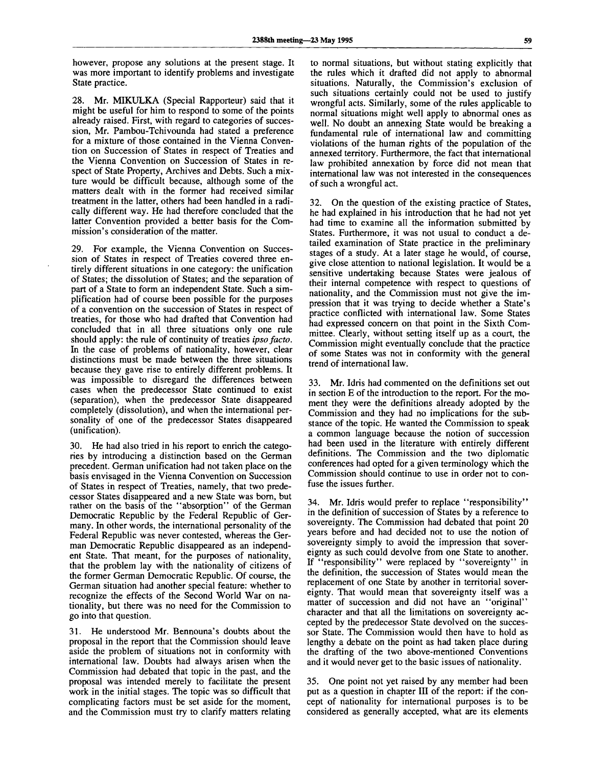however, propose any solutions at the present stage. It was more important to identify problems and investigate State practice.

28. Mr. MIKULKA (Special Rapporteur) said that it might be useful for him to respond to some of the points already raised. First, with regard to categories of succession, Mr. Pambou-Tchivounda had stated a preference for a mixture of those contained in the Vienna Convention on Succession of States in respect of Treaties and the Vienna Convention on Succession of States in respect of State Property, Archives and Debts. Such a mixture would be difficult because, although some of the matters dealt with in the former had received similar treatment in the latter, others had been handled in a radically different way. He had therefore concluded that the latter Convention provided a better basis for the Commission's consideration of the matter.

29. For example, the Vienna Convention on Succession of States in respect of Treaties covered three entirely different situations in one category: the unification of States; the dissolution of States; and the separation of part of a State to form an independent State. Such a simplification had of course been possible for the purposes of a convention on the succession of States in respect of treaties, for those who had drafted that Convention had concluded that in all three situations only one rule should apply: the rule of continuity of treaties *ipso facto.* In the case of problems of nationality, however, clear distinctions must be made between the three situations because they gave rise to entirely different problems. It was impossible to disregard the differences between cases when the predecessor State continued to exist (separation), when the predecessor State disappeared completely (dissolution), and when the international personality of one of the predecessor States disappeared (unification).

30. He had also tried in his report to enrich the categories by introducing a distinction based on the German precedent. German unification had not taken place on the basis envisaged in the Vienna Convention on Succession of States in respect of Treaties, namely, that two predecessor States disappeared and a new State was born, but rather on the basis of the "absorption" of the German Democratic Republic by the Federal Republic of Germany. In other words, the international personality of the Federal Republic was never contested, whereas the German Democratic Republic disappeared as an independent State. That meant, for the purposes of nationality, that the problem lay with the nationality of citizens of the former German Democratic Republic. Of course, the German situation had another special feature: whether to recognize the effects of the Second World War on nationality, but there was no need for the Commission to go into that question.

31. He understood Mr. Bennouna's doubts about the proposal in the report that the Commission should leave aside the problem of situations not in conformity with international law. Doubts had always arisen when the Commission had debated that topic in the past, and the proposal was intended merely to facilitate the present work in the initial stages. The topic was so difficult that complicating factors must be set aside for the moment, and the Commission must try to clarify matters relating

to normal situations, but without stating explicitly that the rules which it drafted did not apply to abnormal situations. Naturally, the Commission's exclusion of such situations certainly could not be used to justify wrongful acts. Similarly, some of the rules applicable to normal situations might well apply to abnormal ones as well. No doubt an annexing State would be breaking a fundamental rule of international law and committing violations of the human rights of the population of the annexed territory. Furthermore, the fact that international law prohibited annexation by force did not mean that international law was not interested in the consequences of such a wrongful act.

32. On the question of the existing practice of States, he had explained in his introduction that he had not yet had time to examine all the information submitted by States. Furthermore, it was not usual to conduct a detailed examination of State practice in the preliminary stages of a study. At a later stage he would, of course, give close attention to national legislation. It would be a sensitive undertaking because States were jealous of their internal competence with respect to questions of nationality, and the Commission must not give the impression that it was trying to decide whether a State's practice conflicted with international law. Some States had expressed concern on that point in the Sixth Committee. Clearly, without setting itself up as a court, the Commission might eventually conclude that the practice of some States was not in conformity with the general trend of international law.

33. Mr. Idris had commented on the definitions set out in section E of the introduction to the report. For the moment they were the definitions already adopted by the Commission and they had no implications for the substance of the topic. He wanted the Commission to speak a common language because the notion of succession had been used in the literature with entirely different definitions. The Commission and the two diplomatic conferences had opted for a given terminology which the Commission should continue to use in order not to confuse the issues further.

34. Mr. Idris would prefer to replace "responsibility" in the definition of succession of States by a reference to sovereignty. The Commission had debated that point 20 years before and had decided not to use the notion of sovereignty simply to avoid the impression that sovereignty as such could devolve from one State to another. If "responsibility" were replaced by "sovereignty" in the definition, the succession of States would mean the replacement of one State by another in territorial sovereignty. That would mean that sovereignty itself was a matter of succession and did not have an "original" character and that all the limitations on sovereignty accepted by the predecessor State devolved on the successor State. The Commission would then have to hold as lengthy a debate on the point as had taken place during the drafting of the two above-mentioned Conventions and it would never get to the basic issues of nationality.

35. One point not yet raised by any member had been put as a question in chapter III of the report: if the concept of nationality for international purposes is to be considered as generally accepted, what are its elements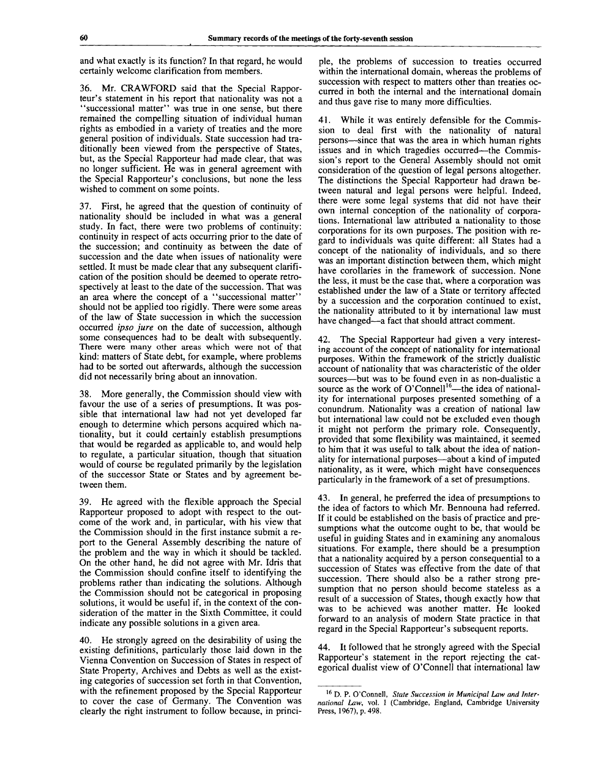and what exactly is its function? In that regard, he would certainly welcome clarification from members.

36. Mr. CRAWFORD said that the Special Rapporteur's statement in his report that nationality was not a "successional matter" was true in one sense, but there remained the compelling situation of individual human rights as embodied in a variety of treaties and the more general position of individuals. State succession had traditionally been viewed from the perspective of States, but, as the Special Rapporteur had made clear, that was no longer sufficient. He was in general agreement with the Special Rapporteur's conclusions, but none the less wished to comment on some points.

37. First, he agreed that the question of continuity of nationality should be included in what was a general study. In fact, there were two problems of continuity: continuity in respect of acts occurring prior to the date of the succession; and continuity as between the date of succession and the date when issues of nationality were settled. It must be made clear that any subsequent clarification of the position should be deemed to operate retrospectively at least to the date of the succession. That was an area where the concept of a "successional matter" should not be applied too rigidly. There were some areas of the law of State succession in which the succession occurred *ipso jure* on the date of succession, although some consequences had to be dealt with subsequently. There were many other areas which were not of that kind: matters of State debt, for example, where problems had to be sorted out afterwards, although the succession did not necessarily bring about an innovation.

38. More generally, the Commission should view with favour the use of a series of presumptions. It was possible that international law had not yet developed far enough to determine which persons acquired which nationality, but it could certainly establish presumptions that would be regarded as applicable to, and would help to regulate, a particular situation, though that situation would of course be regulated primarily by the legislation of the successor State or States and by agreement between them.

39. He agreed with the flexible approach the Special Rapporteur proposed to adopt with respect to the outcome of the work and, in particular, with his view that the Commission should in the first instance submit a report to the General Assembly describing the nature of the problem and the way in which it should be tackled. On the other hand, he did not agree with Mr. Idris that the Commission should confine itself to identifying the problems rather than indicating the solutions. Although the Commission should not be categorical in proposing solutions, it would be useful if, in the context of the consideration of the matter in the Sixth Committee, it could indicate any possible solutions in a given area.

40. He strongly agreed on the desirability of using the existing definitions, particularly those laid down in the Vienna Convention on Succession of States in respect of State Property, Archives and Debts as well as the existing categories of succession set forth in that Convention, with the refinement proposed by the Special Rapporteur to cover the case of Germany. The Convention was clearly the right instrument to follow because, in principle, the problems of succession to treaties occurred within the international domain, whereas the problems of succession with respect to matters other than treaties occurred in both the internal and the international domain and thus gave rise to many more difficulties.

41. While it was entirely defensible for the Commission to deal first with the nationality of natural persons—since that was the area in which human rights issues and in which tragedies occurred—the Commission's report to the General Assembly should not omit consideration of the question of legal persons altogether. The distinctions the Special Rapporteur had drawn between natural and legal persons were helpful. Indeed, there were some legal systems that did not have their own internal conception of the nationality of corporations. International law attributed a nationality to those corporations for its own purposes. The position with regard to individuals was quite different: all States had a concept of the nationality of individuals, and so there was an important distinction between them, which might have corollaries in the framework of succession. None the less, it must be the case that, where a corporation was established under the law of a State or territory affected by a succession and the corporation continued to exist, the nationality attributed to it by international law must have changed—a fact that should attract comment.

42. The Special Rapporteur had given a very interesting account of the concept of nationality for international purposes. Within the framework of the strictly dualistic account of nationality that was characteristic of the older sources—but was to be found even in as non-dualistic a source as the work of O'Connell<sup>16</sup>—the idea of nationality for international purposes presented something of a conundrum. Nationality was a creation of national law but international law could not be excluded even though it might not perform the primary role. Consequently, provided that some flexibility was maintained, it seemed to him that it was useful to talk about the idea of nationality for international purposes—about a kind of imputed nationality, as it were, which might have consequences particularly in the framework of a set of presumptions.

43. In general, he preferred the idea of presumptions to the idea of factors to which Mr. Bennouna had referred. If it could be established on the basis of practice and presumptions what the outcome ought to be, that would be useful in guiding States and in examining any anomalous situations. For example, there should be a presumption that a nationality acquired by a person consequential to a succession of States was effective from the date of that succession. There should also be a rather strong presumption that no person should become stateless as a result of a succession of States, though exactly how that was to be achieved was another matter. He looked forward to an analysis of modern State practice in that regard in the Special Rapporteur's subsequent reports.

44. It followed that he strongly agreed with the Special Rapporteur's statement in the report rejecting the categorical dualist view of O'Connell that international law

<sup>16</sup> D. P. O'Connell, *State Succession in Municipal Law and International Law,* vol. I (Cambridge, England, Cambridge University Press, 1967), p. 498.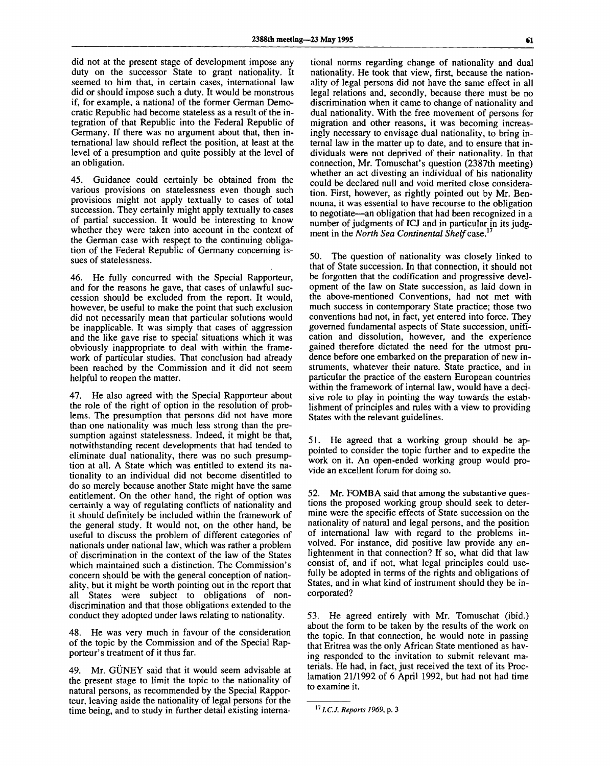did not at the present stage of development impose any duty on the successor State to grant nationality. It seemed to him that, in certain cases, international law did or should impose such a duty. It would be monstrous if, for example, a national of the former German Democratic Republic had become stateless as a result of the integration of that Republic into the Federal Republic of Germany. If there was no argument about that, then international law should reflect the position, at least at the level of a presumption and quite possibly at the level of an obligation.

45. Guidance could certainly be obtained from the various provisions on statelessness even though such provisions might not apply textually to cases of total succession. They certainly might apply textually to cases of partial succession. It would be interesting to know whether they were taken into account in the context of the German case with respect to the continuing obligation of the Federal Republic of Germany concerning issues of statelessness.

46. He fully concurred with the Special Rapporteur, and for the reasons he gave, that cases of unlawful succession should be excluded from the report. It would, however, be useful to make the point that such exclusion did not necessarily mean that particular solutions would be inapplicable. It was simply that cases of aggression and the like gave rise to special situations which it was obviously inappropriate to deal with within the framework of particular studies. That conclusion had already been reached by the Commission and it did not seem helpful to reopen the matter.

47. He also agreed with the Special Rapporteur about the role of the right of option in the resolution of problems. The presumption that persons did not have more than one nationality was much less strong than the presumption against statelessness. Indeed, it might be that, notwithstanding recent developments that had tended to eliminate dual nationality, there was no such presumption at all. A State which was entitled to extend its nationality to an individual did not become disentitled to do so merely because another State might have the same entitlement. On the other hand, the right of option was certainly a way of regulating conflicts of nationality and it should definitely be included within the framework of the general study. It would not, on the other hand, be useful to discuss the problem of different categories of nationals under national law, which was rather a problem of discrimination in the context of the law of the States which maintained such a distinction. The Commission's concern should be with the general conception of nationality, but it might be worth pointing out in the report that all States were subject to obligations of nondiscrimination and that those obligations extended to the conduct they adopted under laws relating to nationality.

48. He was very much in favour of the consideration of the topic by the Commission and of the Special Rapporteur's treatment of it thus far.

49. Mr. GÜNEY said that it would seem advisable at the present stage to limit the topic to the nationality of natural persons, as recommended by the Special Rapporteur, leaving aside the nationality of legal persons for the time being, and to study in further detail existing interna-

tional norms regarding change of nationality and dual nationality. He took that view, first, because the nationality of legal persons did not have the same effect in all legal relations and, secondly, because there must be no discrimination when it came to change of nationality and dual nationality. With the free movement of persons for migration and other reasons, it was becoming increasingly necessary to envisage dual nationality, to bring internal law in the matter up to date, and to ensure that individuals were not deprived of their nationality. In that connection, Mr. Tomuschat's question (2387th meeting) whether an act divesting an individual of his nationality could be declared null and void merited close consideration. First, however, as rightly pointed out by Mr. Bennouna, it was essential to have recourse to the obligation to negotiate—an obligation that had been recognized in a number of judgments of ICJ and in particular in its judgment in the *North Sea Continental Shelf case. 17*

50. The question of nationality was closely linked to that of State succession. In that connection, it should not be forgotten that the codification and progressive development of the law on State succession, as laid down in the above-mentioned Conventions, had not met with much success in contemporary State practice; those two conventions had not, in fact, yet entered into force. They governed fundamental aspects of State succession, unification and dissolution, however, and the experience gained therefore dictated the need for the utmost prudence before one embarked on the preparation of new instruments, whatever their nature. State practice, and in particular the practice of the eastern European countries within the framework of internal law, would have a decisive role to play in pointing the way towards the establishment of principles and rules with a view to providing States with the relevant guidelines.

51. He agreed that a working group should be appointed to consider the topic further and to expedite the work on it. An open-ended working group would provide an excellent forum for doing so.

52. Mr. FOMBA said that among the substantive questions the proposed working group should seek to determine were the specific effects of State succession on the nationality of natural and legal persons, and the position of international law with regard to the problems involved. For instance, did positive law provide any enlightenment in that connection? If so, what did that law consist of, and if not, what legal principles could usefully be adopted in terms of the rights and obligations of States, and in what kind of instrument should they be incorporated?

53. He agreed entirely with Mr. Tomuschat (ibid.) about the form to be taken by the results of the work on the topic. In that connection, he would note in passing that Eritrea was the only African State mentioned as having responded to the invitation to submit relevant materials. He had, in fact, just received the text of its Proclamation 21/1992 of 6 April 1992, but had not had time to examine it.

<sup>17</sup>*1.C.J. Reports 1969,* p. 3